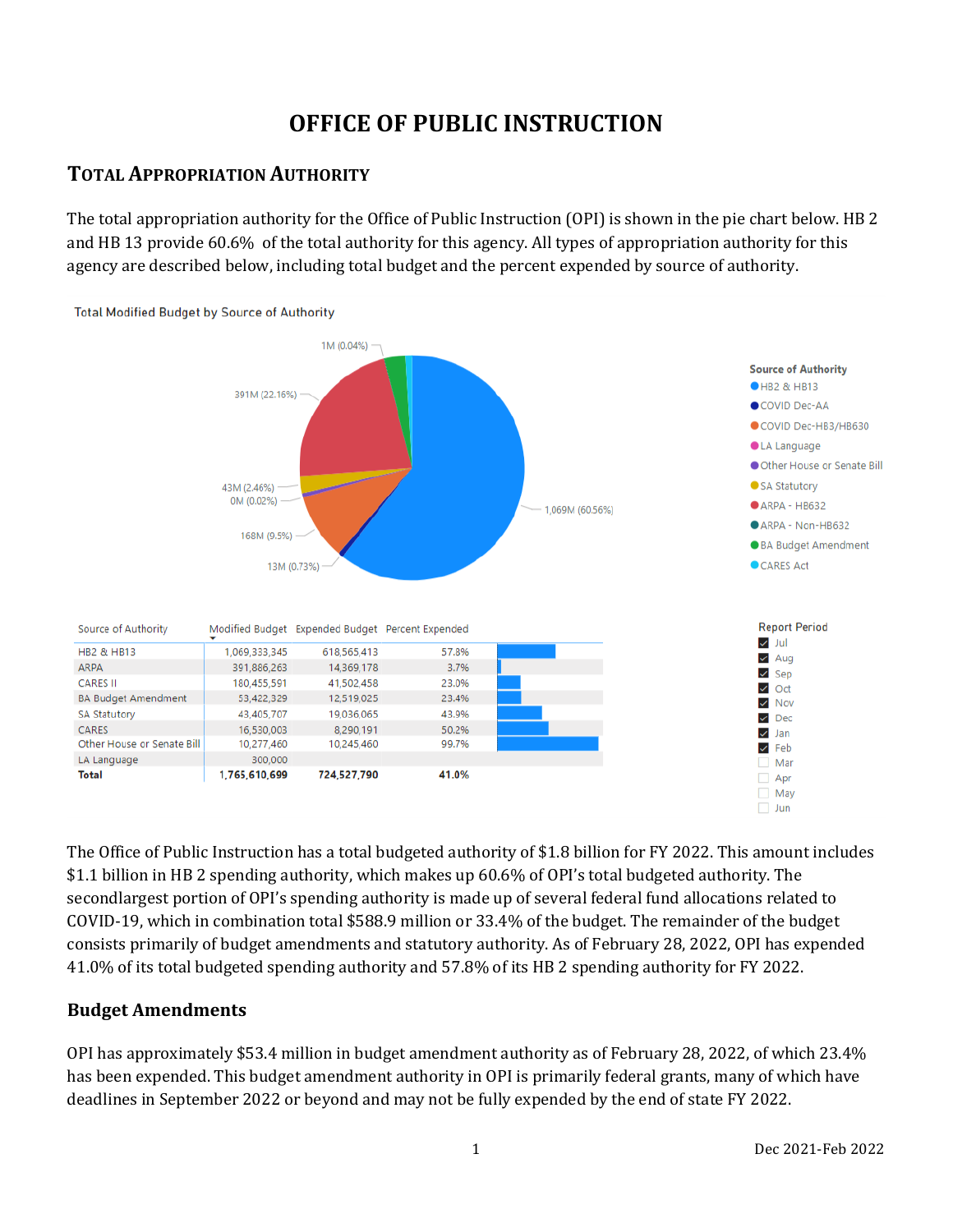# **OFFICE OF PUBLIC INSTRUCTION**

## **TOTAL APPROPRIATION AUTHORITY**

The total appropriation authority for the Office of Public Instruction (OPI) is shown in the pie chart below. HB 2 and HB 13 provide 60.6% of the total authority for this agency. All types of appropriation authority for this agency are described below, including total budget and the percent expended by source of authority.



The Office of Public Instruction has a total budgeted authority of \$1.8 billion for FY 2022. This amount includes \$1.1 billion in HB 2 spending authority, which makes up 60.6% of OPI's total budgeted authority. The secondlargest portion of OPI's spending authority is made up of several federal fund allocations related to COVID-19, which in combination total \$588.9 million or 33.4% of the budget. The remainder of the budget consists primarily of budget amendments and statutory authority. As of February 28, 2022, OPI has expended 41.0% of its total budgeted spending authority and 57.8% of its HB 2 spending authority for FY 2022.

### **Budget Amendments**

OPI has approximately \$53.4 million in budget amendment authority as of February 28, 2022, of which 23.4% has been expended. This budget amendment authority in OPI is primarily federal grants, many of which have deadlines in September 2022 or beyond and may not be fully expended by the end of state FY 2022.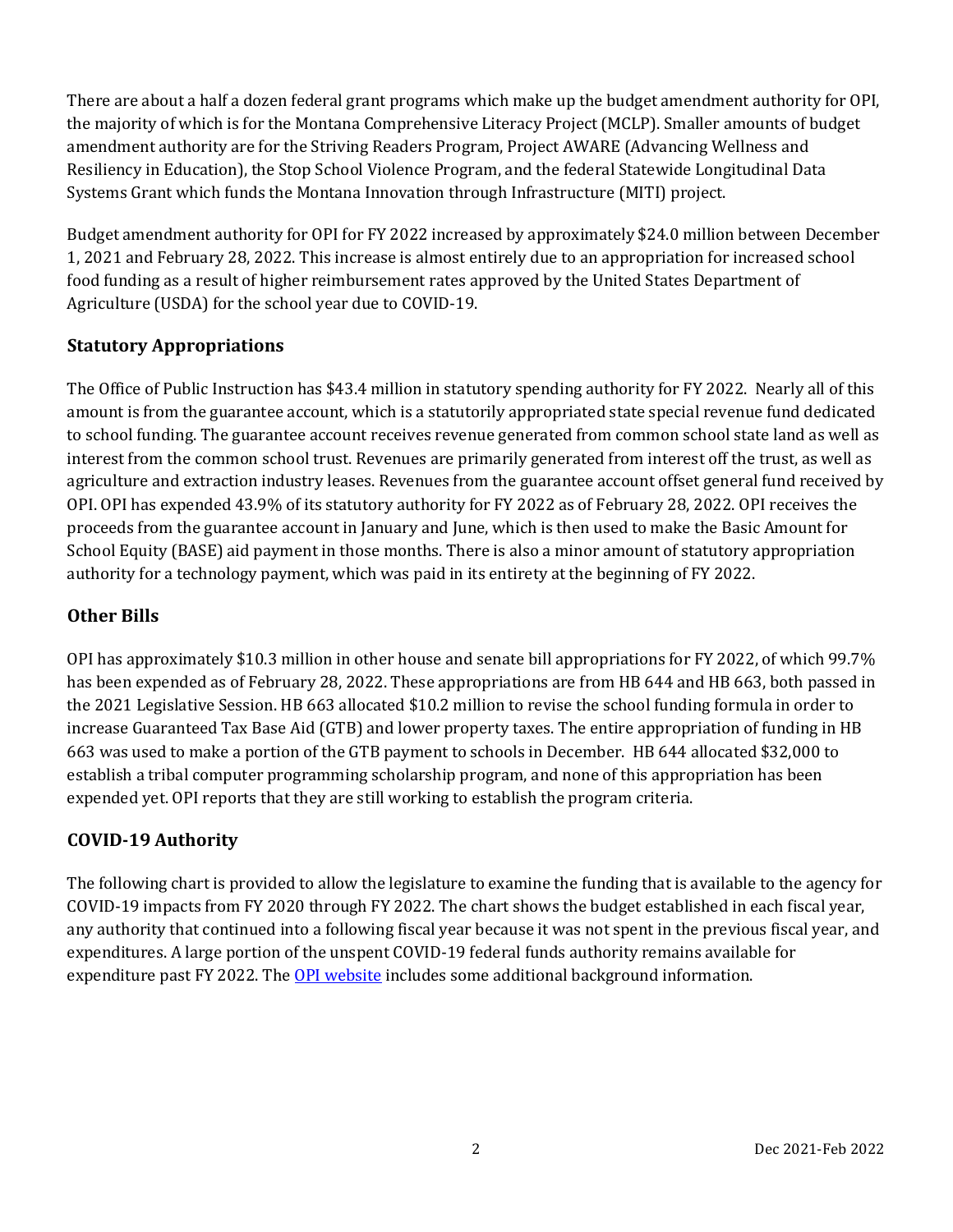There are about a half a dozen federal grant programs which make up the budget amendment authority for OPI, the majority of which is for the Montana Comprehensive Literacy Project (MCLP). Smaller amounts of budget amendment authority are for the Striving Readers Program, Project AWARE (Advancing Wellness and Resiliency in Education), the Stop School Violence Program, and the federal Statewide Longitudinal Data Systems Grant which funds the Montana Innovation through Infrastructure (MITI) project.

Budget amendment authority for OPI for FY 2022 increased by approximately \$24.0 million between December 1, 2021 and February 28, 2022. This increase is almost entirely due to an appropriation for increased school food funding as a result of higher reimbursement rates approved by the United States Department of Agriculture (USDA) for the school year due to COVID-19.

## **Statutory Appropriations**

The Office of Public Instruction has \$43.4 million in statutory spending authority for FY 2022. Nearly all of this amount is from the guarantee account, which is a statutorily appropriated state special revenue fund dedicated to school funding. The guarantee account receives revenue generated from common school state land as well as interest from the common school trust. Revenues are primarily generated from interest off the trust, as well as agriculture and extraction industry leases. Revenues from the guarantee account offset general fund received by OPI. OPI has expended 43.9% of its statutory authority for FY 2022 as of February 28, 2022. OPI receives the proceeds from the guarantee account in January and June, which is then used to make the Basic Amount for School Equity (BASE) aid payment in those months. There is also a minor amount of statutory appropriation authority for a technology payment, which was paid in its entirety at the beginning of FY 2022.

## **Other Bills**

OPI has approximately \$10.3 million in other house and senate bill appropriations for FY 2022, of which 99.7% has been expended as of February 28, 2022. These appropriations are from HB 644 and HB 663, both passed in the 2021 Legislative Session. HB 663 allocated \$10.2 million to revise the school funding formula in order to increase Guaranteed Tax Base Aid (GTB) and lower property taxes. The entire appropriation of funding in HB 663 was used to make a portion of the GTB payment to schools in December. HB 644 allocated \$32,000 to establish a tribal computer programming scholarship program, and none of this appropriation has been expended yet. OPI reports that they are still working to establish the program criteria.

### **COVID-19 Authority**

The following chart is provided to allow the legislature to examine the funding that is available to the agency for COVID-19 impacts from FY 2020 through FY 2022. The chart shows the budget established in each fiscal year, any authority that continued into a following fiscal year because it was not spent in the previous fiscal year, and expenditures. A large portion of the unspent COVID-19 federal funds authority remains available for expenditure past FY 2022. The [OPI website](https://opi.mt.gov/COVID-19-Information/ESSER#9922711128-fund-coding) includes some additional background information.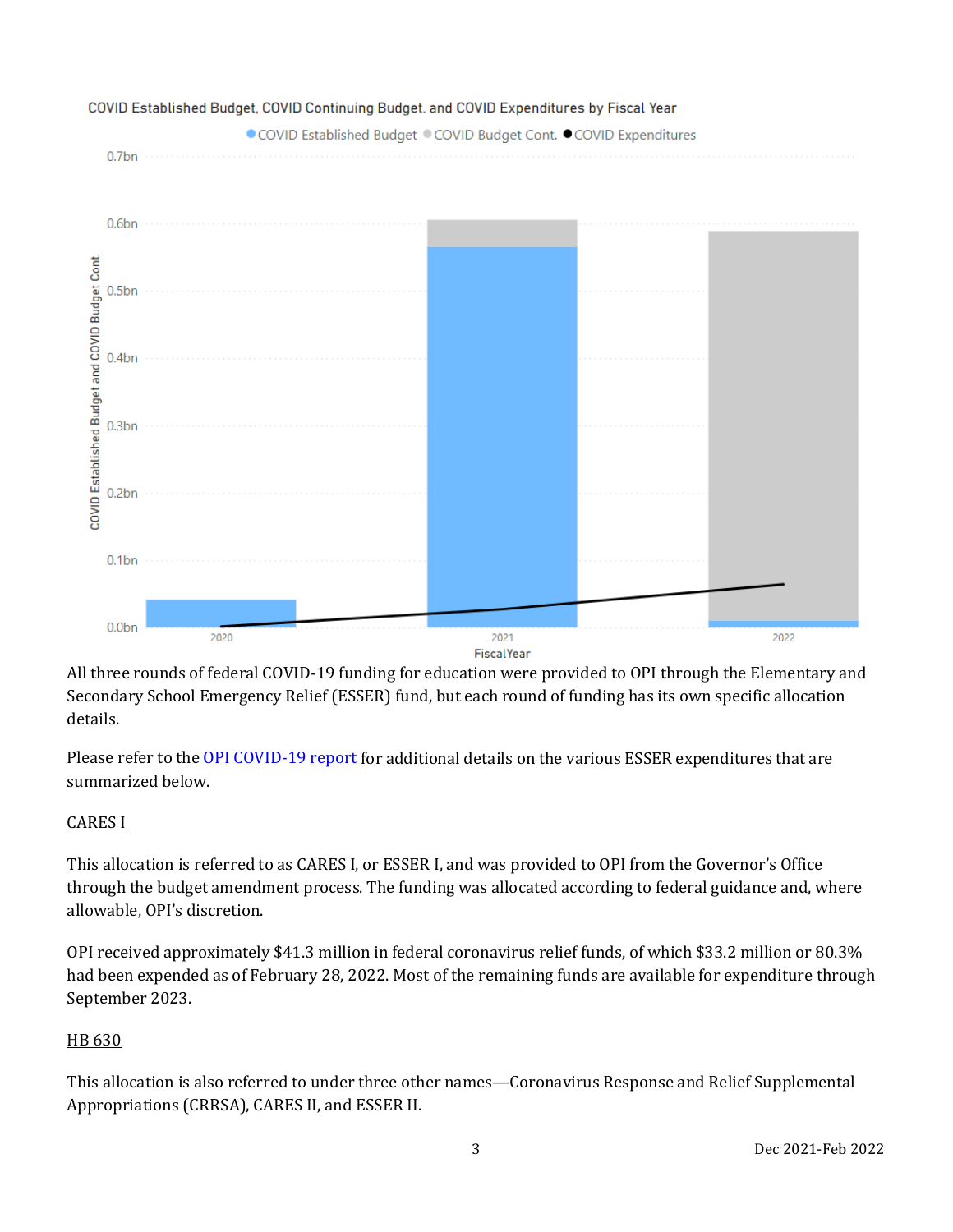

All three rounds of federal COVID-19 funding for education were provided to OPI through the Elementary and Secondary School Emergency Relief (ESSER) fund, but each round of funding has its own specific allocation details.

Please refer to the [OPI COVID-19 report](https://leg.mt.gov/content/publications/fiscal/2023-Interim/IBC-E/ESSER_IEC_3_1_22.pdf) for additional details on the various ESSER expenditures that are summarized below.

## CARES I

This allocation is referred to as CARES I, or ESSER I, and was provided to OPI from the Governor's Office through the budget amendment process. The funding was allocated according to federal guidance and, where allowable, OPI's discretion.

OPI received approximately \$41.3 million in federal coronavirus relief funds, of which \$33.2 million or 80.3% had been expended as of February 28, 2022. Most of the remaining funds are available for expenditure through September 2023.

## HB 630

This allocation is also referred to under three other names—Coronavirus Response and Relief Supplemental Appropriations (CRRSA), CARES II, and ESSER II.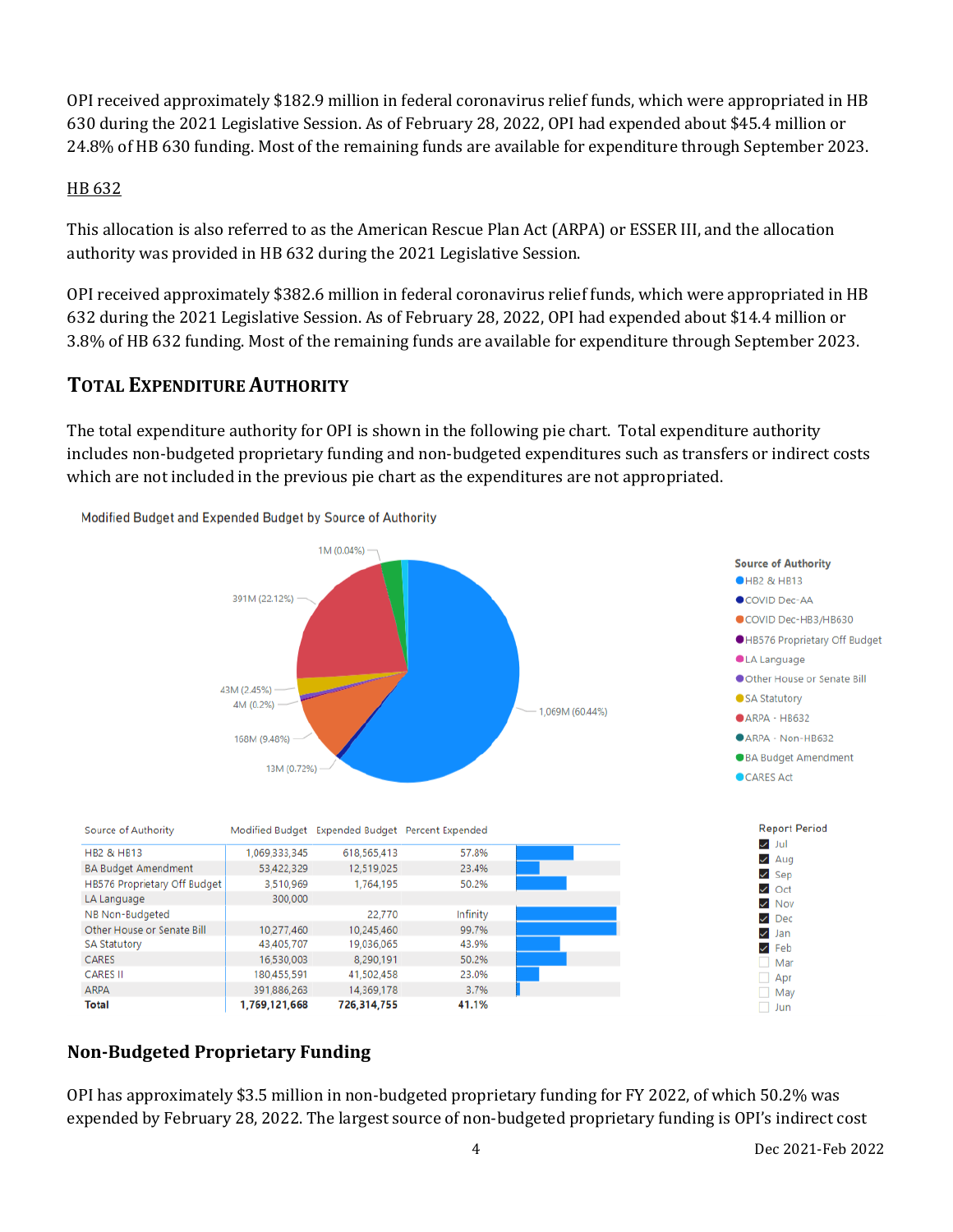OPI received approximately \$182.9 million in federal coronavirus relief funds, which were appropriated in HB 630 during the 2021 Legislative Session. As of February 28, 2022, OPI had expended about \$45.4 million or 24.8% of HB 630 funding. Most of the remaining funds are available for expenditure through September 2023.

### HB 632

This allocation is also referred to as the American Rescue Plan Act (ARPA) or ESSER III, and the allocation authority was provided in HB 632 during the 2021 Legislative Session.

OPI received approximately \$382.6 million in federal coronavirus relief funds, which were appropriated in HB 632 during the 2021 Legislative Session. As of February 28, 2022, OPI had expended about \$14.4 million or 3.8% of HB 632 funding. Most of the remaining funds are available for expenditure through September 2023.

## **TOTAL EXPENDITURE AUTHORITY**

The total expenditure authority for OPI is shown in the following pie chart. Total expenditure authority includes non-budgeted proprietary funding and non-budgeted expenditures such as transfers or indirect costs which are not included in the previous pie chart as the expenditures are not appropriated.



## **Non-Budgeted Proprietary Funding**

OPI has approximately \$3.5 million in non-budgeted proprietary funding for FY 2022, of which 50.2% was expended by February 28, 2022. The largest source of non-budgeted proprietary funding is OPI's indirect cost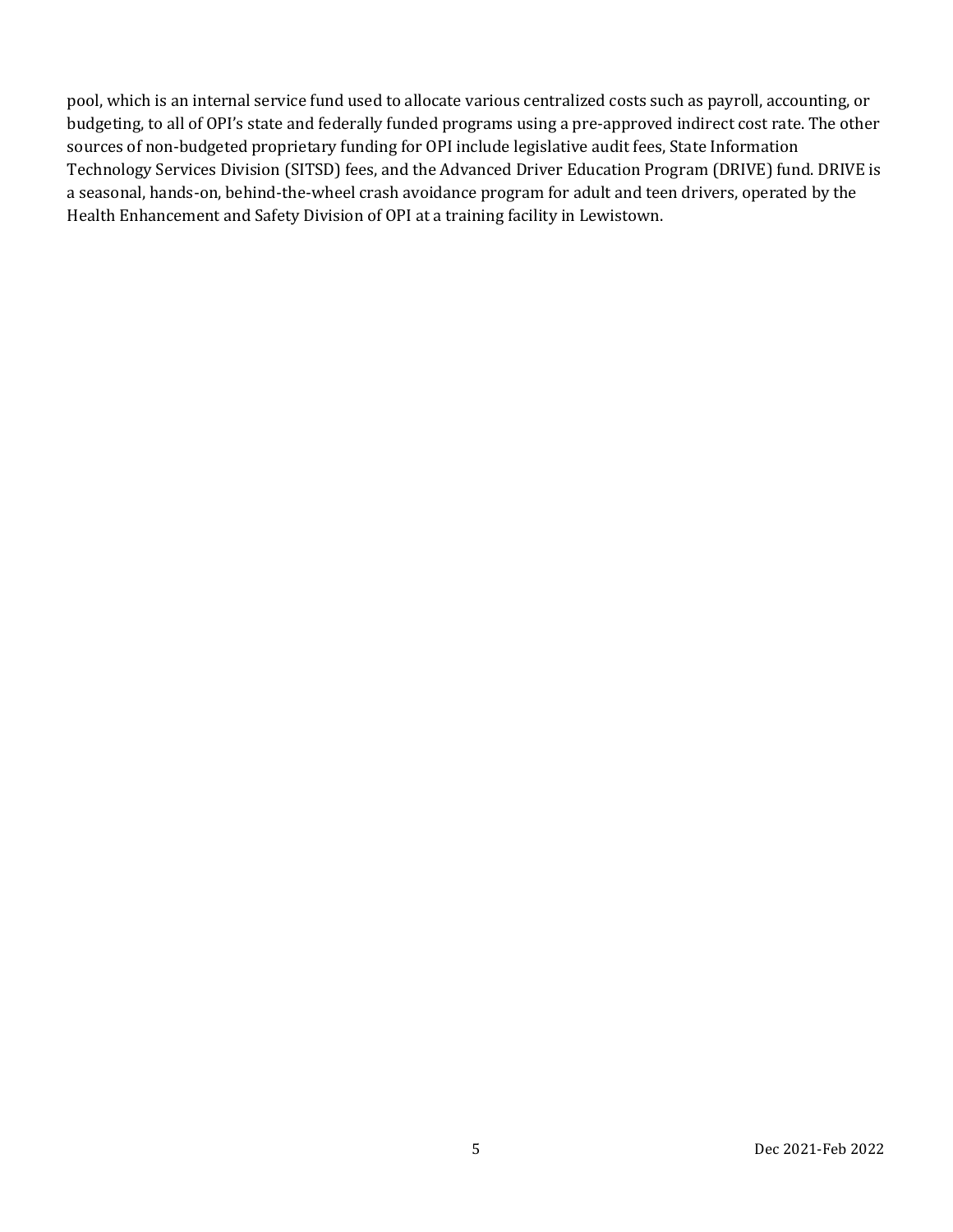pool, which is an internal service fund used to allocate various centralized costs such as payroll, accounting, or budgeting, to all of OPI's state and federally funded programs using a pre-approved indirect cost rate. The other sources of non-budgeted proprietary funding for OPI include legislative audit fees, State Information Technology Services Division (SITSD) fees, and the Advanced Driver Education Program (DRIVE) fund. DRIVE is a seasonal, hands-on, behind-the-wheel crash avoidance program for adult and teen drivers, operated by the Health Enhancement and Safety Division of OPI at a training facility in Lewistown.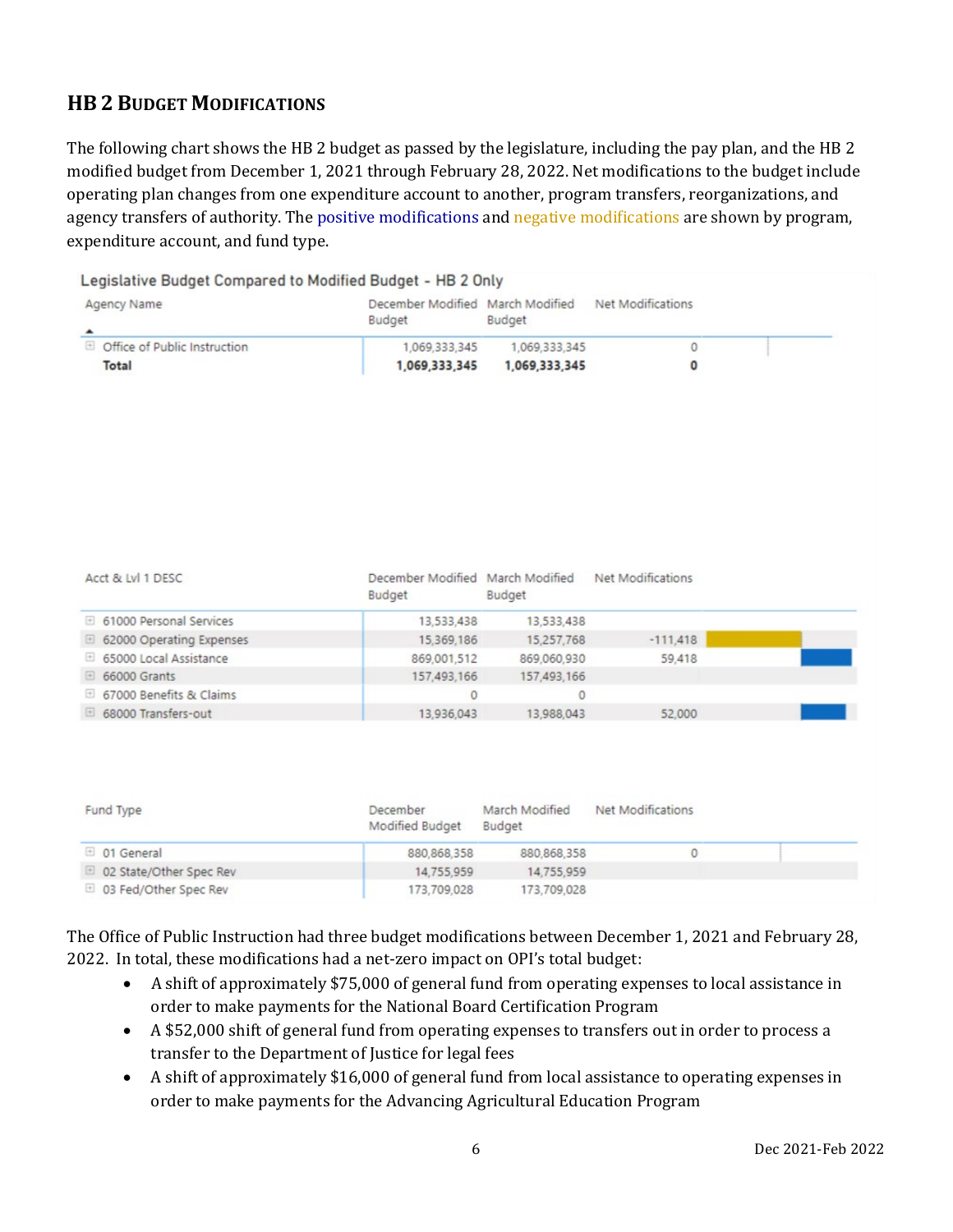## **HB 2 BUDGET MODIFICATIONS**

The following chart shows the HB 2 budget as passed by the legislature, including the pay plan, and the HB 2 modified budget from December 1, 2021 through February 28, 2022. Net modifications to the budget include operating plan changes from one expenditure account to another, program transfers, reorganizations, and agency transfers of authority. The positive modifications and negative modifications are shown by program, expenditure account, and fund type.

| Budget        | Budget        |                                                                                                |                   |
|---------------|---------------|------------------------------------------------------------------------------------------------|-------------------|
| 1,069,333,345 | 1,069,333,345 |                                                                                                |                   |
| 1,069,333,345 | 1,069,333,345 |                                                                                                |                   |
|               |               | Legislative Budget Compared to Modified Budget - HB 2 Only<br>December Modified March Modified | Net Modifications |

| Acct & Lvl 1 DESC        | December Modified March Modified Net Modifications<br>Budget | <b>Budget</b> |            |  |
|--------------------------|--------------------------------------------------------------|---------------|------------|--|
| 61000 Personal Services  | 13,533,438                                                   | 13.533.438    |            |  |
| 62000 Operating Expenses | 15,369,186                                                   | 15,257,768    | $-111,418$ |  |
| 65000 Local Assistance   | 869.001.512                                                  | 869,060,930   | 59,418     |  |
| □ 66000 Grants           | 157,493,166                                                  | 157,493,166   |            |  |
| 67000 Benefits & Claims  |                                                              |               |            |  |
| 68000 Transfers-out      | 13.936.043                                                   | 13.988.043    | 52,000     |  |

| Fund Type               | December<br>Modified Budget | March Modified<br>Budget | Net Modifications |  |
|-------------------------|-----------------------------|--------------------------|-------------------|--|
| <sup>1</sup> 01 General | 880, 868, 358               | 880.868.358              |                   |  |
| 02 State/Other Spec Rev | 14,755,959                  | 14.755.959               |                   |  |
| □ 03 Fed/Other Spec Rev | 173,709,028                 | 173,709,028              |                   |  |

The Office of Public Instruction had three budget modifications between December 1, 2021 and February 28, 2022. In total, these modifications had a net-zero impact on OPI's total budget:

- A shift of approximately \$75,000 of general fund from operating expenses to local assistance in order to make payments for the National Board Certification Program
- A \$52,000 shift of general fund from operating expenses to transfers out in order to process a transfer to the Department of Justice for legal fees
- A shift of approximately \$16,000 of general fund from local assistance to operating expenses in order to make payments for the Advancing Agricultural Education Program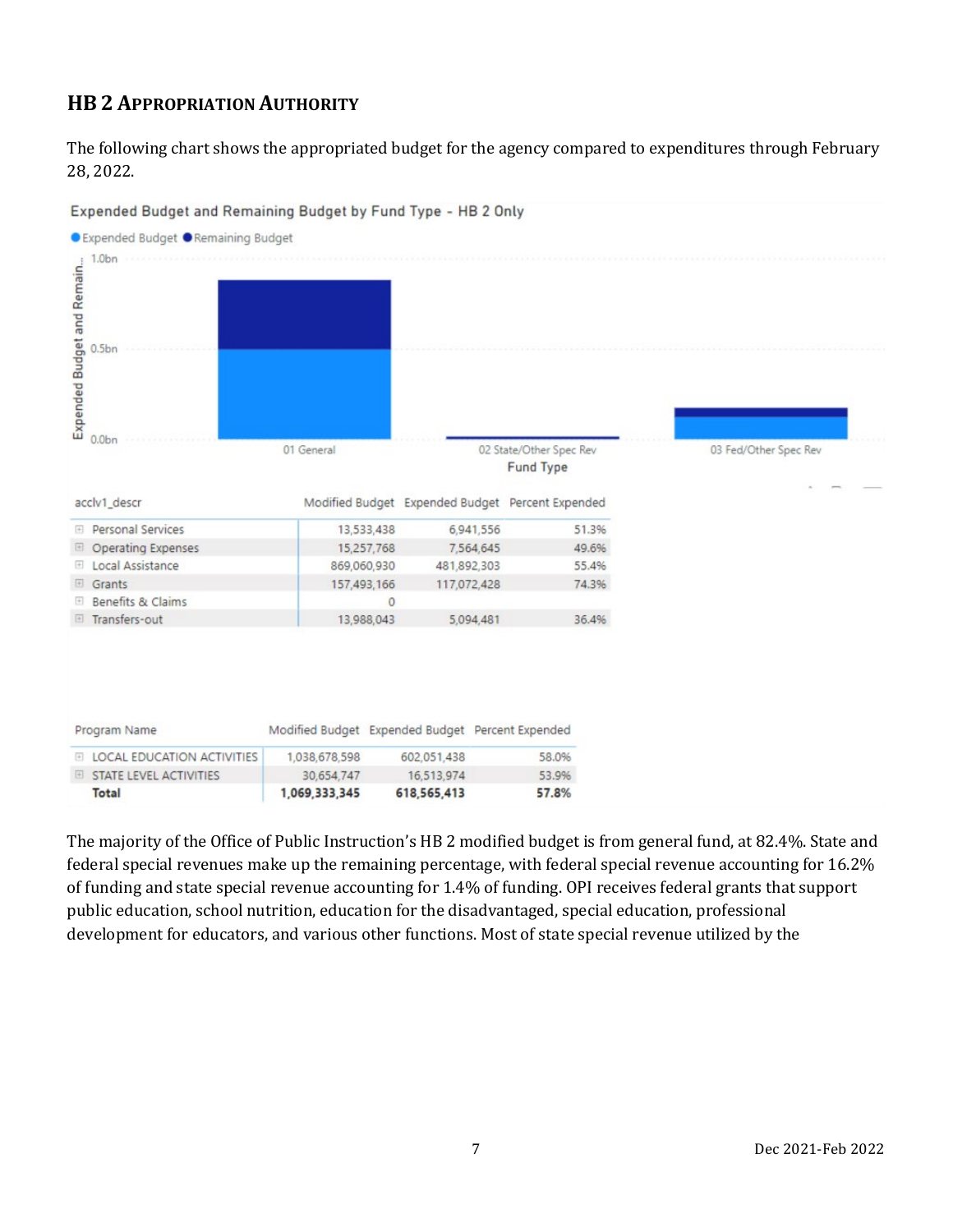## **HB 2 APPROPRIATION AUTHORITY**

The following chart shows the appropriated budget for the agency compared to expenditures through February 28, 2022.



Expended Budget and Remaining Budget by Fund Type - HB 2 Only

The majority of the Office of Public Instruction's HB 2 modified budget is from general fund, at 82.4%. State and federal special revenues make up the remaining percentage, with federal special revenue accounting for 16.2% of funding and state special revenue accounting for 1.4% of funding. OPI receives federal grants that support public education, school nutrition, education for the disadvantaged, special education, professional development for educators, and various other functions. Most of state special revenue utilized by the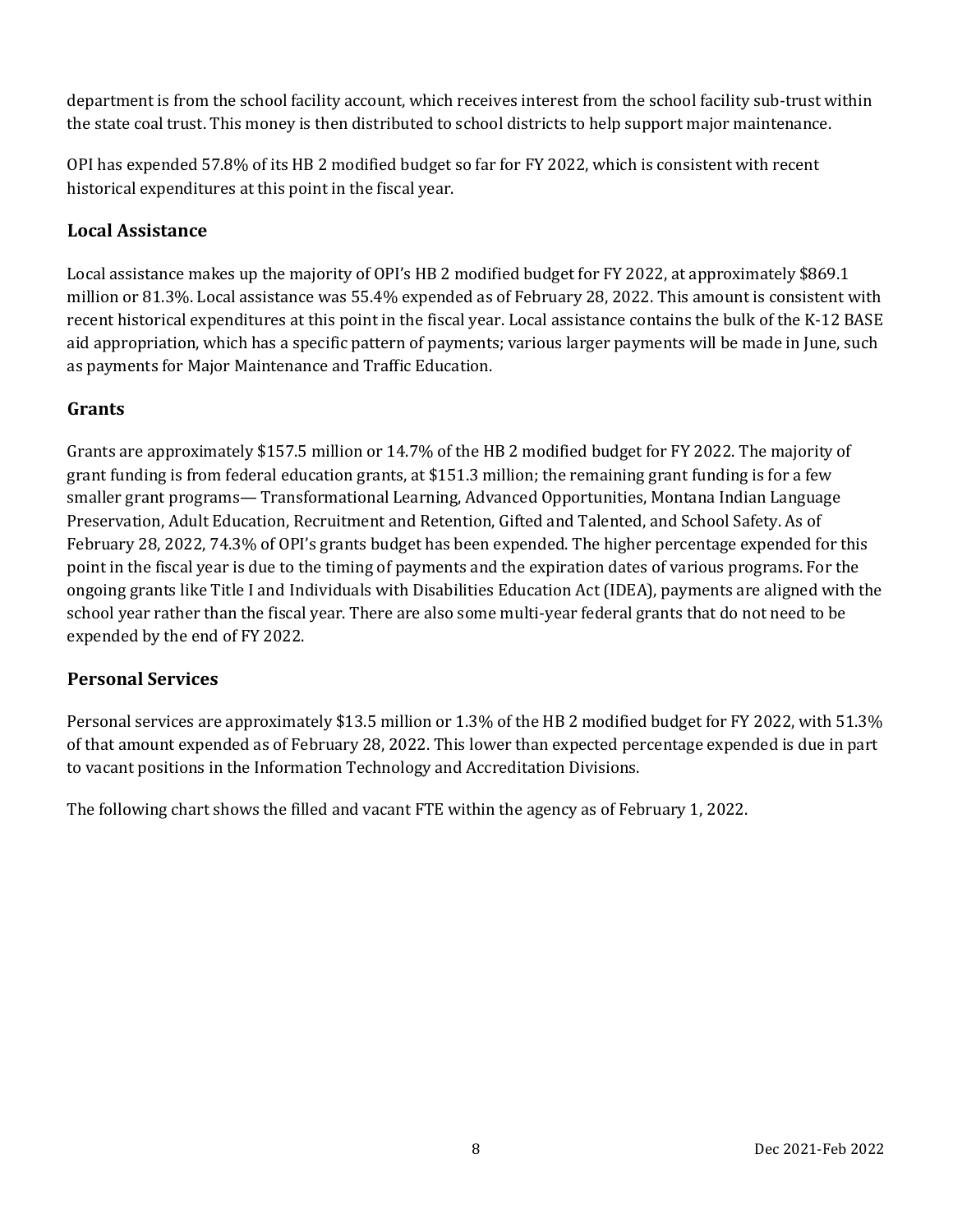department is from the school facility account, which receives interest from the school facility sub-trust within the state coal trust. This money is then distributed to school districts to help support major maintenance.

OPI has expended 57.8% of its HB 2 modified budget so far for FY 2022, which is consistent with recent historical expenditures at this point in the fiscal year.

## **Local Assistance**

Local assistance makes up the majority of OPI's HB 2 modified budget for FY 2022, at approximately \$869.1 million or 81.3%. Local assistance was 55.4% expended as of February 28, 2022. This amount is consistent with recent historical expenditures at this point in the fiscal year. Local assistance contains the bulk of the K-12 BASE aid appropriation, which has a specific pattern of payments; various larger payments will be made in June, such as payments for Major Maintenance and Traffic Education.

### **Grants**

Grants are approximately \$157.5 million or 14.7% of the HB 2 modified budget for FY 2022. The majority of grant funding is from federal education grants, at \$151.3 million; the remaining grant funding is for a few smaller grant programs— Transformational Learning, Advanced Opportunities, Montana Indian Language Preservation, Adult Education, Recruitment and Retention, Gifted and Talented, and School Safety. As of February 28, 2022, 74.3% of OPI's grants budget has been expended. The higher percentage expended for this point in the fiscal year is due to the timing of payments and the expiration dates of various programs. For the ongoing grants like Title I and Individuals with Disabilities Education Act (IDEA), payments are aligned with the school year rather than the fiscal year. There are also some multi-year federal grants that do not need to be expended by the end of FY 2022.

### **Personal Services**

Personal services are approximately \$13.5 million or 1.3% of the HB 2 modified budget for FY 2022, with 51.3% of that amount expended as of February 28, 2022. This lower than expected percentage expended is due in part to vacant positions in the Information Technology and Accreditation Divisions.

The following chart shows the filled and vacant FTE within the agency as of February 1, 2022.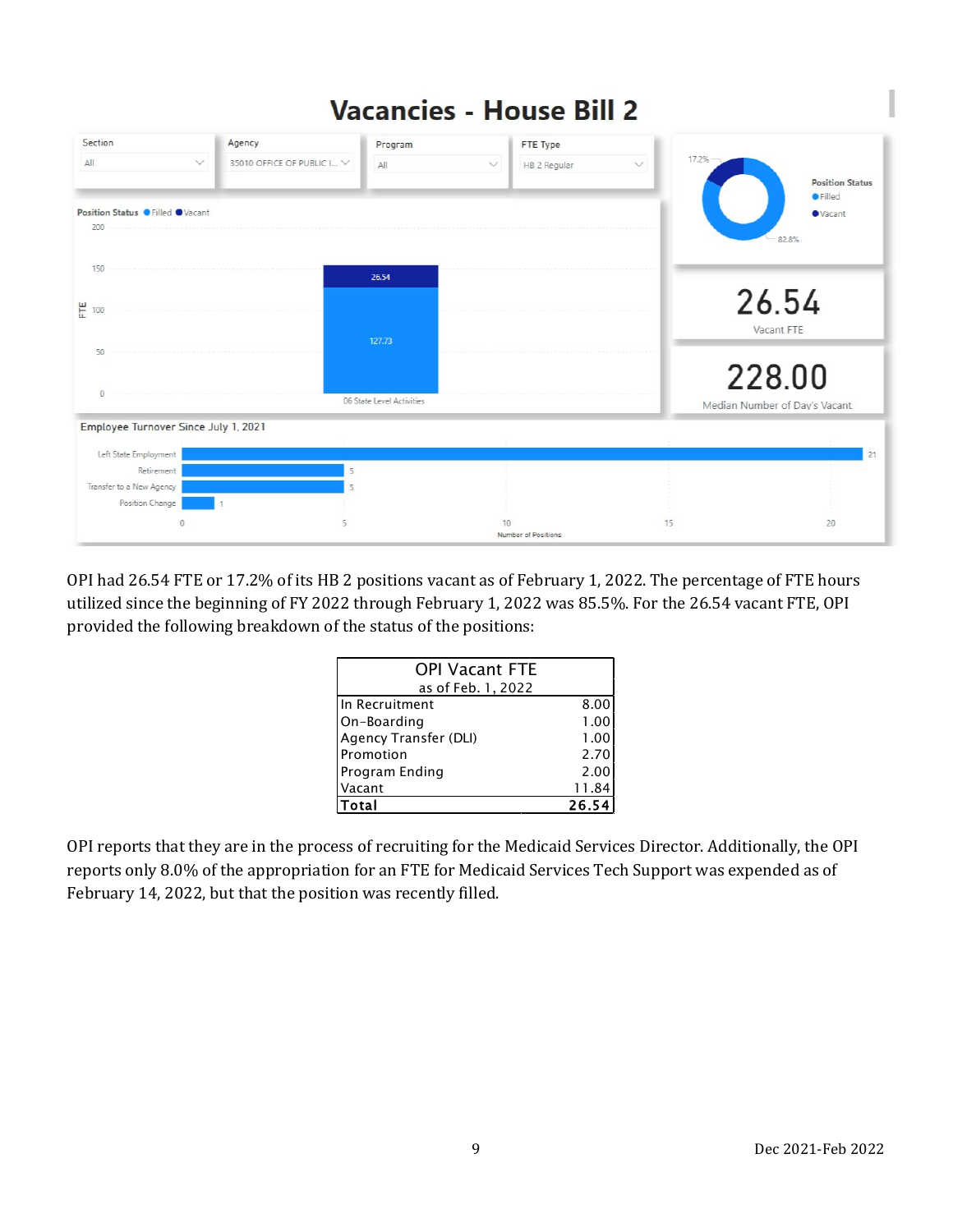#### **Vacancies - House Bill 2** Section Agency Program FTE Type 35010 OFFICE OF PUBLIC I... ΔII All HB 2 Regular **Position Status** A Filled Position Status O Filled OVacant **O** Vacant 200 82.8% 150 26.54 26.54 뿐 100 Vacant FTE 50 228.00 06 State Level Activities Median Number of Day's Vacant Employee Turnover Since July 1, 2021 Left State Employment  $\overline{21}$ Retirement i, Transfer to a New Agency Position Change  $15$  $\overline{0}$  $10$  $20$ Number of Positions

OPI had 26.54 FTE or 17.2% of its HB 2 positions vacant as of February 1, 2022. The percentage of FTE hours utilized since the beginning of FY 2022 through February 1, 2022 was 85.5%. For the 26.54 vacant FTE, OPI provided the following breakdown of the status of the positions:

| <b>OPI Vacant FTE</b> |                   |
|-----------------------|-------------------|
| as of Feb. 1, 2022    |                   |
| In Recruitment        | 8.00              |
| On-Boarding           | 1.00              |
| Agency Transfer (DLI) | 1.00              |
| Promotion             | 2.70              |
| Program Ending        | 2.00              |
| Vacant                | 11.84             |
| "otal                 | 26.5 <sup>2</sup> |

OPI reports that they are in the process of recruiting for the Medicaid Services Director. Additionally, the OPI reports only 8.0% of the appropriation for an FTE for Medicaid Services Tech Support was expended as of February 14, 2022, but that the position was recently filled.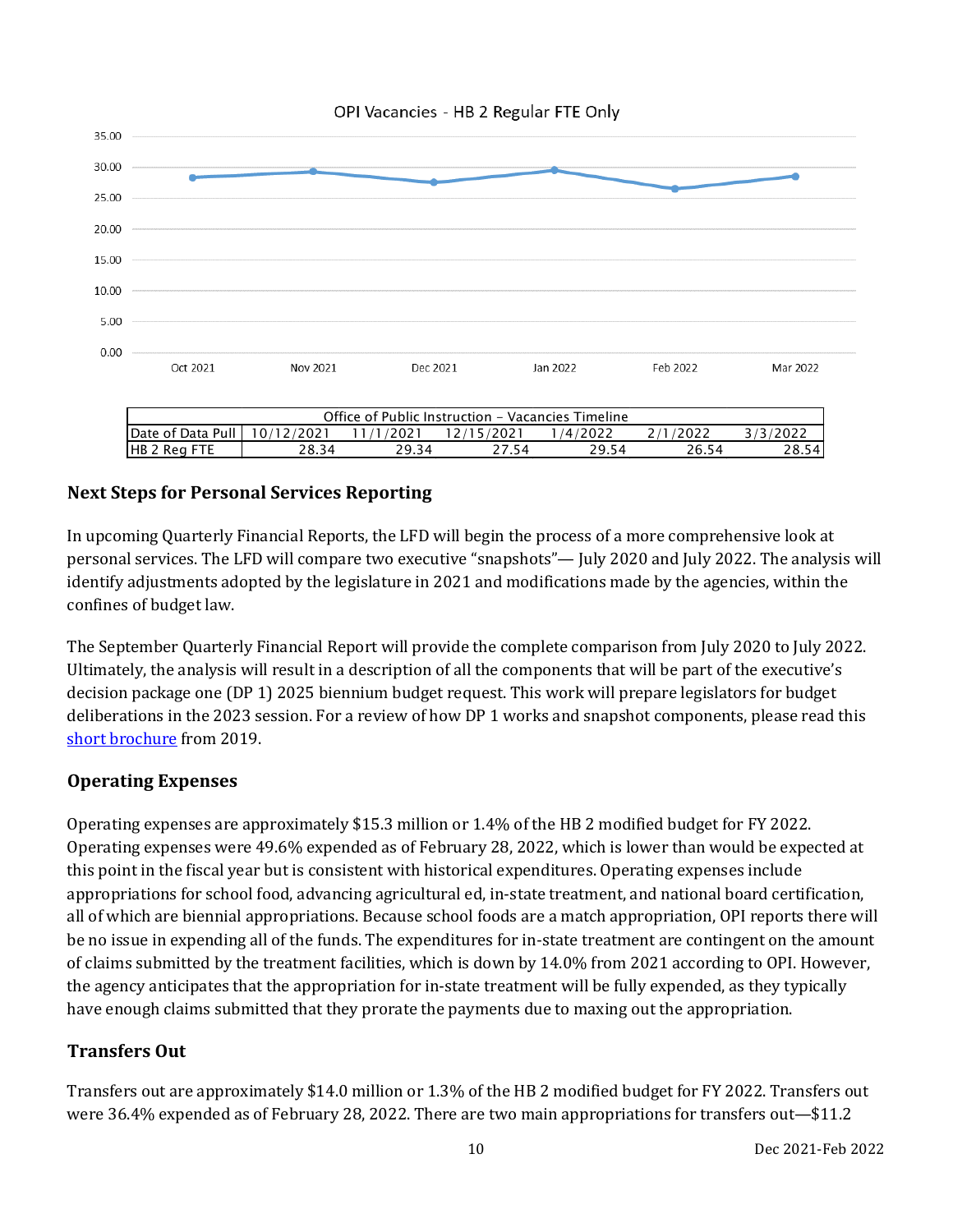



## **Next Steps for Personal Services Reporting**

In upcoming Quarterly Financial Reports, the LFD will begin the process of a more comprehensive look at personal services. The LFD will compare two executive "snapshots"— July 2020 and July 2022. The analysis will identify adjustments adopted by the legislature in 2021 and modifications made by the agencies, within the confines of budget law.

The September Quarterly Financial Report will provide the complete comparison from July 2020 to July 2022. Ultimately, the analysis will result in a description of all the components that will be part of the executive's decision package one (DP 1) 2025 biennium budget request. This work will prepare legislators for budget deliberations in the 2023 session. For a review of how DP 1 works and snapshot components, please read this [short brochure](https://montana.maps.arcgis.com/apps/Cascade/index.html?appid=23095fcf15754f4fb38b63c58a884b97) from 2019.

### **Operating Expenses**

Operating expenses are approximately \$15.3 million or 1.4% of the HB 2 modified budget for FY 2022. Operating expenses were 49.6% expended as of February 28, 2022, which is lower than would be expected at this point in the fiscal year but is consistent with historical expenditures. Operating expenses include appropriations for school food, advancing agricultural ed, in-state treatment, and national board certification, all of which are biennial appropriations. Because school foods are a match appropriation, OPI reports there will be no issue in expending all of the funds. The expenditures for in-state treatment are contingent on the amount of claims submitted by the treatment facilities, which is down by 14.0% from 2021 according to OPI. However, the agency anticipates that the appropriation for in-state treatment will be fully expended, as they typically have enough claims submitted that they prorate the payments due to maxing out the appropriation.

## **Transfers Out**

Transfers out are approximately \$14.0 million or 1.3% of the HB 2 modified budget for FY 2022. Transfers out were 36.4% expended as of February 28, 2022. There are two main appropriations for transfers out—\$11.2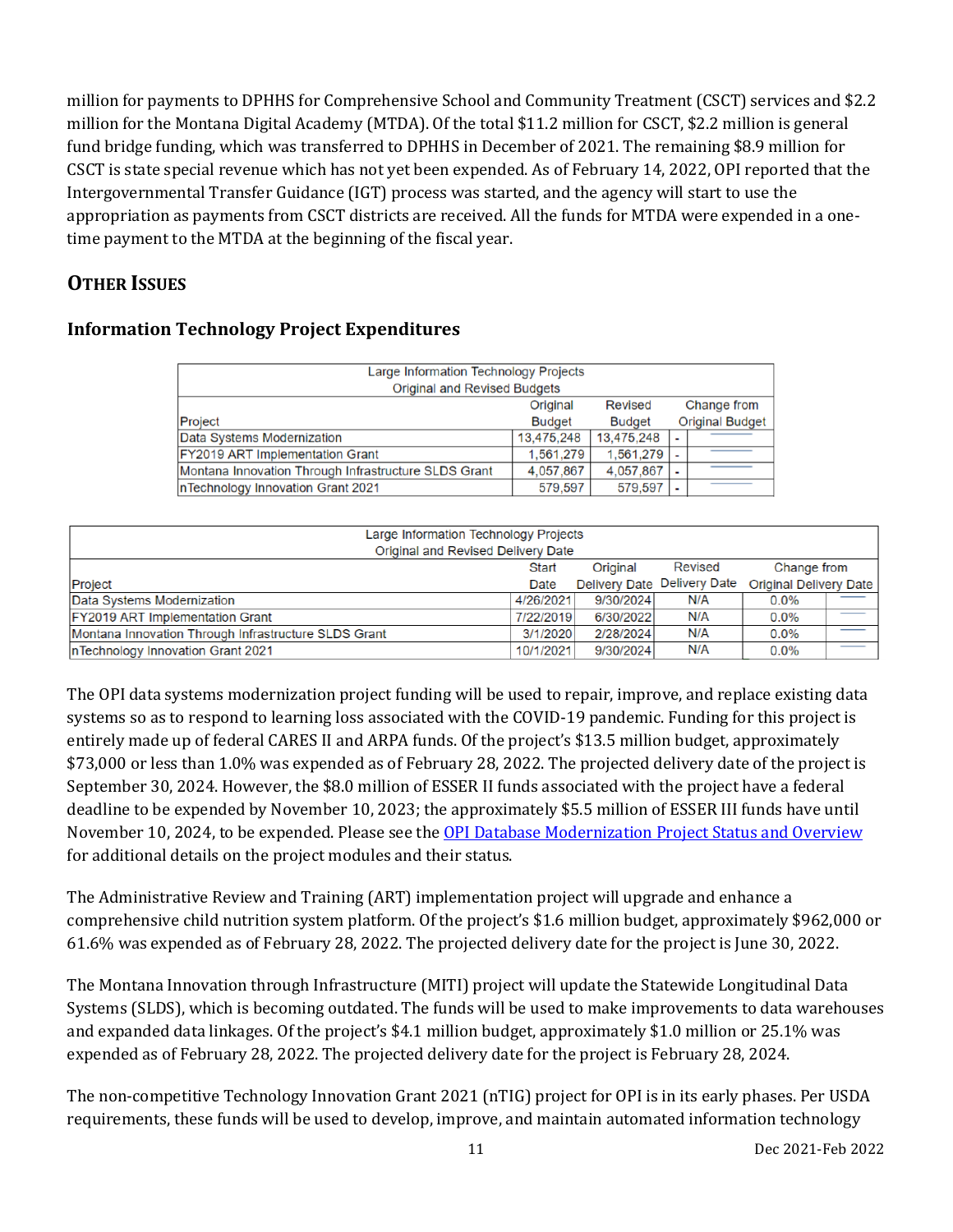million for payments to DPHHS for Comprehensive School and Community Treatment (CSCT) services and \$2.2 million for the Montana Digital Academy (MTDA). Of the total \$11.2 million for CSCT, \$2.2 million is general fund bridge funding, which was transferred to DPHHS in December of 2021. The remaining \$8.9 million for CSCT is state special revenue which has not yet been expended. As of February 14, 2022, OPI reported that the Intergovernmental Transfer Guidance (IGT) process was started, and the agency will start to use the appropriation as payments from CSCT districts are received. All the funds for MTDA were expended in a onetime payment to the MTDA at the beginning of the fiscal year.

## **OTHER ISSUES**

| <b>Information Technology Project Expenditures</b> |  |  |
|----------------------------------------------------|--|--|
|----------------------------------------------------|--|--|

| Large Information Technology Projects                |               |               |  |                        |  |  |
|------------------------------------------------------|---------------|---------------|--|------------------------|--|--|
| <b>Original and Revised Budgets</b>                  |               |               |  |                        |  |  |
| Change from<br><b>Revised</b><br>Original            |               |               |  |                        |  |  |
| Project                                              | <b>Budget</b> | <b>Budget</b> |  | <b>Original Budget</b> |  |  |
| Data Systems Modernization                           | 13,475,248    | 13,475,248    |  |                        |  |  |
| <b>FY2019 ART Implementation Grant</b>               | 1.561.279     | 1.561.279     |  |                        |  |  |
| Montana Innovation Through Infrastructure SLDS Grant | 4,057,867     | 4,057,867     |  |                        |  |  |
| InTechnology Innovation Grant 2021                   | 579,597       | 579,597       |  |                        |  |  |

| Large Information Technology Projects                |           |           |                             |                        |             |  |
|------------------------------------------------------|-----------|-----------|-----------------------------|------------------------|-------------|--|
| Original and Revised Delivery Date                   |           |           |                             |                        |             |  |
| Revised<br>Original<br><b>Start</b>                  |           |           |                             |                        | Change from |  |
| Project                                              | Date      |           | Delivery Date Delivery Date | Original Delivery Date |             |  |
| Data Systems Modernization                           | 4/26/2021 | 9/30/2024 | N/A                         | $0.0\%$                |             |  |
| <b>FY2019 ART Implementation Grant</b>               | 7/22/2019 | 6/30/2022 | N/A                         | 0.0%                   |             |  |
| Montana Innovation Through Infrastructure SLDS Grant | 3/1/2020  | 2/28/2024 | N/A                         | 0.0%                   | __          |  |
| InTechnology Innovation Grant 2021                   | 10/1/2021 | 9/30/2024 | N/A                         | 0.0%                   | ___         |  |

The OPI data systems modernization project funding will be used to repair, improve, and replace existing data systems so as to respond to learning loss associated with the COVID-19 pandemic. Funding for this project is entirely made up of federal CARES II and ARPA funds. Of the project's \$13.5 million budget, approximately \$73,000 or less than 1.0% was expended as of February 28, 2022. The projected delivery date of the project is September 30, 2024. However, the \$8.0 million of ESSER II funds associated with the project have a federal deadline to be expended by November 10, 2023; the approximately \$5.5 million of ESSER III funds have until November 10, 2024, to be expended. Please see the [OPI Database Modernization Project Status and Overview](https://leg.mt.gov/content/Committees/Interim/2021-2022/Education/Meetings/March-2022/OPI-DM-March-2022.pdf) for additional details on the project modules and their status.

The Administrative Review and Training (ART) implementation project will upgrade and enhance a comprehensive child nutrition system platform. Of the project's \$1.6 million budget, approximately \$962,000 or 61.6% was expended as of February 28, 2022. The projected delivery date for the project is June 30, 2022.

The Montana Innovation through Infrastructure (MITI) project will update the Statewide Longitudinal Data Systems (SLDS), which is becoming outdated. The funds will be used to make improvements to data warehouses and expanded data linkages. Of the project's \$4.1 million budget, approximately \$1.0 million or 25.1% was expended as of February 28, 2022. The projected delivery date for the project is February 28, 2024.

The non-competitive Technology Innovation Grant 2021 (nTIG) project for OPI is in its early phases. Per USDA requirements, these funds will be used to develop, improve, and maintain automated information technology